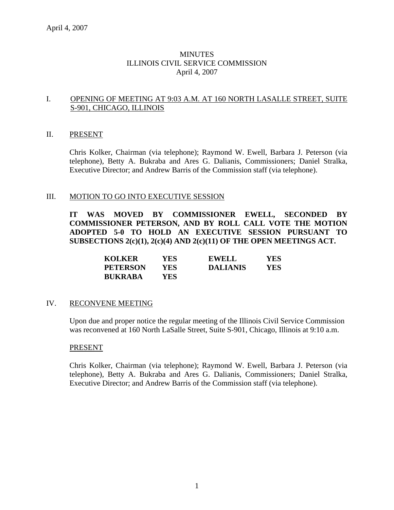# MINUTES ILLINOIS CIVIL SERVICE COMMISSION April 4, 2007

## I. OPENING OF MEETING AT 9:03 A.M. AT 160 NORTH LASALLE STREET, SUITE S-901, CHICAGO, ILLINOIS

#### II. PRESENT

Chris Kolker, Chairman (via telephone); Raymond W. Ewell, Barbara J. Peterson (via telephone), Betty A. Bukraba and Ares G. Dalianis, Commissioners; Daniel Stralka, Executive Director; and Andrew Barris of the Commission staff (via telephone).

## III. MOTION TO GO INTO EXECUTIVE SESSION

**IT WAS MOVED BY COMMISSIONER EWELL, SECONDED BY COMMISSIONER PETERSON, AND BY ROLL CALL VOTE THE MOTION ADOPTED 5-0 TO HOLD AN EXECUTIVE SESSION PURSUANT TO SUBSECTIONS 2(c)(1), 2(c)(4) AND 2(c)(11) OF THE OPEN MEETINGS ACT.** 

| <b>KOLKER</b>   | YES | <b>EWELL</b>    | YES |
|-----------------|-----|-----------------|-----|
| <b>PETERSON</b> | YES | <b>DALIANIS</b> | YES |
| <b>BUKRABA</b>  | YES |                 |     |

## IV. RECONVENE MEETING

Upon due and proper notice the regular meeting of the Illinois Civil Service Commission was reconvened at 160 North LaSalle Street, Suite S-901, Chicago, Illinois at 9:10 a.m.

#### PRESENT

Chris Kolker, Chairman (via telephone); Raymond W. Ewell, Barbara J. Peterson (via telephone), Betty A. Bukraba and Ares G. Dalianis, Commissioners; Daniel Stralka, Executive Director; and Andrew Barris of the Commission staff (via telephone).